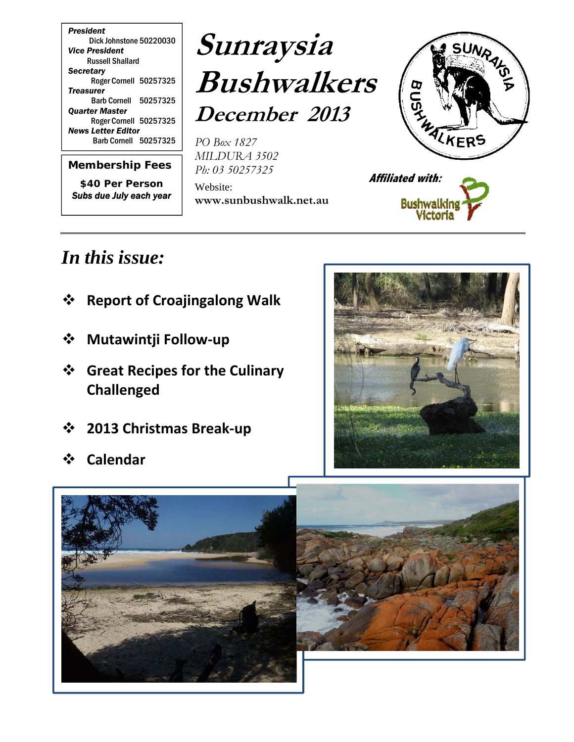*President* Dick Johnstone 50220030 *Vice President*  Russell Shallard *Secretary*  Roger Cornell 50257325 *Treasurer*  Barb Cornell 50257325 *Quarter Master*  Roger Cornell 50257325 *News Letter Editor*  Barb Cornell 50257325

*Membership Fees \$40 Per Person Subs due July each year*

# **Sunraysia Bushwalkers December 2013**

*PO Box 1827 MILDURA 3502 Ph: 03 50257325*

Website: **www.sunbushwalk.net.au** 





# *In this issue:*

- **Report of Croajingalong Walk**
- **Mutawintji Follow‐up**
- **Great Recipes for the Culinary Challenged**
- **2013 Christmas Break‐up**
- **Calendar**





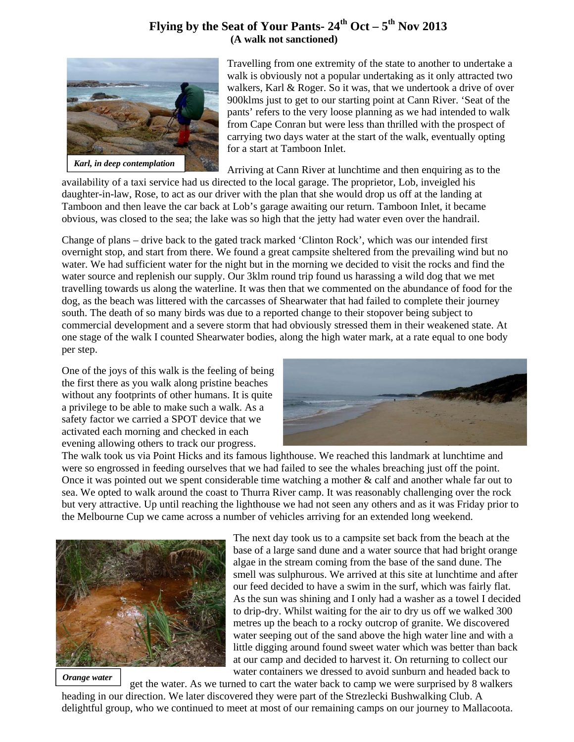#### **Flying by the Seat of Your Pants-**  $24^{th}$  **Oct**  $-5^{th}$  **Nov 2013 (A walk not sanctioned)**



Travelling from one extremity of the state to another to undertake a walk is obviously not a popular undertaking as it only attracted two walkers, Karl & Roger. So it was, that we undertook a drive of over 900klms just to get to our starting point at Cann River. 'Seat of the pants' refers to the very loose planning as we had intended to walk from Cape Conran but were less than thrilled with the prospect of carrying two days water at the start of the walk, eventually opting for a start at Tamboon Inlet.

Arriving at Cann River at lunchtime and then enquiring as to the

availability of a taxi service had us directed to the local garage. The proprietor, Lob, inveigled his daughter-in-law, Rose, to act as our driver with the plan that she would drop us off at the landing at Tamboon and then leave the car back at Lob's garage awaiting our return. Tamboon Inlet, it became obvious, was closed to the sea; the lake was so high that the jetty had water even over the handrail.

Change of plans – drive back to the gated track marked 'Clinton Rock', which was our intended first overnight stop, and start from there. We found a great campsite sheltered from the prevailing wind but no water. We had sufficient water for the night but in the morning we decided to visit the rocks and find the water source and replenish our supply. Our 3klm round trip found us harassing a wild dog that we met travelling towards us along the waterline. It was then that we commented on the abundance of food for the dog, as the beach was littered with the carcasses of Shearwater that had failed to complete their journey south. The death of so many birds was due to a reported change to their stopover being subject to commercial development and a severe storm that had obviously stressed them in their weakened state. At one stage of the walk I counted Shearwater bodies, along the high water mark, at a rate equal to one body per step.

One of the joys of this walk is the feeling of being the first there as you walk along pristine beaches without any footprints of other humans. It is quite a privilege to be able to make such a walk. As a safety factor we carried a SPOT device that we activated each morning and checked in each evening allowing others to track our progress.



The walk took us via Point Hicks and its famous lighthouse. We reached this landmark at lunchtime and were so engrossed in feeding ourselves that we had failed to see the whales breaching just off the point. Once it was pointed out we spent considerable time watching a mother & calf and another whale far out to sea. We opted to walk around the coast to Thurra River camp. It was reasonably challenging over the rock but very attractive. Up until reaching the lighthouse we had not seen any others and as it was Friday prior to the Melbourne Cup we came across a number of vehicles arriving for an extended long weekend.



*Orange water* 

The next day took us to a campsite set back from the beach at the base of a large sand dune and a water source that had bright orange algae in the stream coming from the base of the sand dune. The smell was sulphurous. We arrived at this site at lunchtime and after our feed decided to have a swim in the surf, which was fairly flat. As the sun was shining and I only had a washer as a towel I decided to drip-dry. Whilst waiting for the air to dry us off we walked 300 metres up the beach to a rocky outcrop of granite. We discovered water seeping out of the sand above the high water line and with a little digging around found sweet water which was better than back at our camp and decided to harvest it. On returning to collect our water containers we dressed to avoid sunburn and headed back to

get the water. As we turned to cart the water back to camp we were surprised by 8 walkers

heading in our direction. We later discovered they were part of the Strezlecki Bushwalking Club. A delightful group, who we continued to meet at most of our remaining camps on our journey to Mallacoota.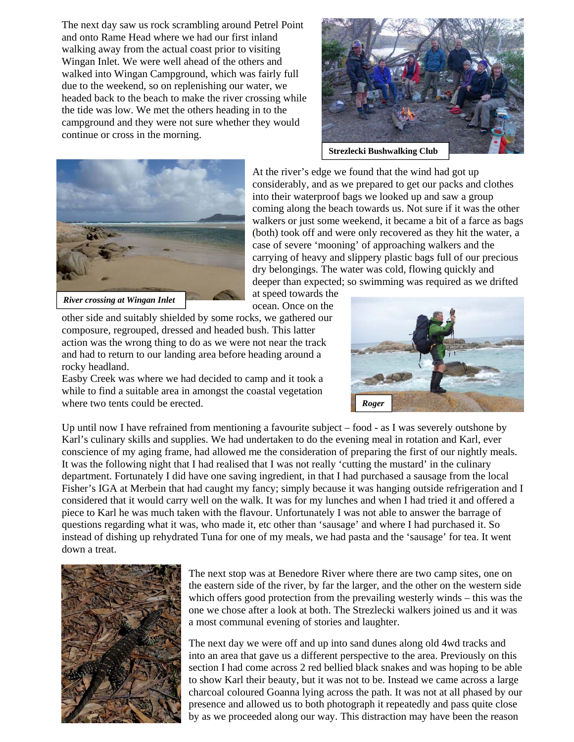The next day saw us rock scrambling around Petrel Point and onto Rame Head where we had our first inland walking away from the actual coast prior to visiting Wingan Inlet. We were well ahead of the others and walked into Wingan Campground, which was fairly full due to the weekend, so on replenishing our water, we headed back to the beach to make the river crossing while the tide was low. We met the others heading in to the campground and they were not sure whether they would continue or cross in the morning.





At the river's edge we found that the wind had got up considerably, and as we prepared to get our packs and clothes into their waterproof bags we looked up and saw a group coming along the beach towards us. Not sure if it was the other walkers or just some weekend, it became a bit of a farce as bags (both) took off and were only recovered as they hit the water, a case of severe 'mooning' of approaching walkers and the carrying of heavy and slippery plastic bags full of our precious dry belongings. The water was cold, flowing quickly and deeper than expected; so swimming was required as we drifted

at speed towards the ocean. Once on the

other side and suitably shielded by some rocks, we gathered our composure, regrouped, dressed and headed bush. This latter action was the wrong thing to do as we were not near the track and had to return to our landing area before heading around a rocky headland.

Easby Creek was where we had decided to camp and it took a while to find a suitable area in amongst the coastal vegetation where two tents could be erected.



Up until now I have refrained from mentioning a favourite subject – food - as I was severely outshone by Karl's culinary skills and supplies. We had undertaken to do the evening meal in rotation and Karl, ever conscience of my aging frame, had allowed me the consideration of preparing the first of our nightly meals. It was the following night that I had realised that I was not really 'cutting the mustard' in the culinary department. Fortunately I did have one saving ingredient, in that I had purchased a sausage from the local Fisher's IGA at Merbein that had caught my fancy; simply because it was hanging outside refrigeration and I considered that it would carry well on the walk. It was for my lunches and when I had tried it and offered a piece to Karl he was much taken with the flavour. Unfortunately I was not able to answer the barrage of questions regarding what it was, who made it, etc other than 'sausage' and where I had purchased it. So instead of dishing up rehydrated Tuna for one of my meals, we had pasta and the 'sausage' for tea. It went down a treat.



The next stop was at Benedore River where there are two camp sites, one on the eastern side of the river, by far the larger, and the other on the western side which offers good protection from the prevailing westerly winds – this was the one we chose after a look at both. The Strezlecki walkers joined us and it was a most communal evening of stories and laughter.

The next day we were off and up into sand dunes along old 4wd tracks and into an area that gave us a different perspective to the area. Previously on this section I had come across 2 red bellied black snakes and was hoping to be able to show Karl their beauty, but it was not to be. Instead we came across a large charcoal coloured Goanna lying across the path. It was not at all phased by our presence and allowed us to both photograph it repeatedly and pass quite close by as we proceeded along our way. This distraction may have been the reason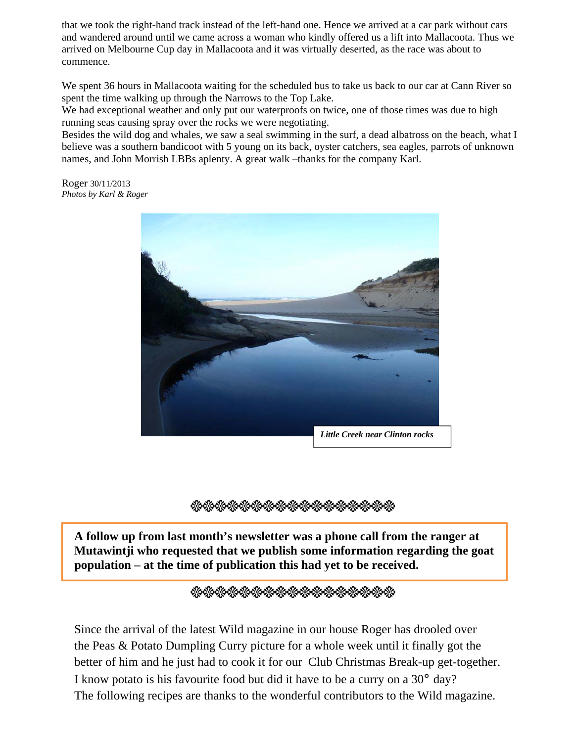that we took the right-hand track instead of the left-hand one. Hence we arrived at a car park without cars and wandered around until we came across a woman who kindly offered us a lift into Mallacoota. Thus we arrived on Melbourne Cup day in Mallacoota and it was virtually deserted, as the race was about to commence.

We spent 36 hours in Mallacoota waiting for the scheduled bus to take us back to our car at Cann River so spent the time walking up through the Narrows to the Top Lake.

We had exceptional weather and only put our waterproofs on twice, one of those times was due to high running seas causing spray over the rocks we were negotiating.

Besides the wild dog and whales, we saw a seal swimming in the surf, a dead albatross on the beach, what I believe was a southern bandicoot with 5 young on its back, oyster catchers, sea eagles, parrots of unknown names, and John Morrish LBBs aplenty. A great walk –thanks for the company Karl.

Roger 30/11/2013 *Photos by Karl & Roger* 



**•••••••••••••••••** 

**A follow up from last month's newsletter was a phone call from the ranger at Mutawintji who requested that we publish some information regarding the goat population – at the time of publication this had yet to be received.** 

<sub></sup><sup></sup><sup></sup><sup></sup></sub>

Since the arrival of the latest Wild magazine in our house Roger has drooled over the Peas & Potato Dumpling Curry picture for a whole week until it finally got the better of him and he just had to cook it for our Club Christmas Break-up get-together. I know potato is his favourite food but did it have to be a curry on a 30° day? The following recipes are thanks to the wonderful contributors to the Wild magazine.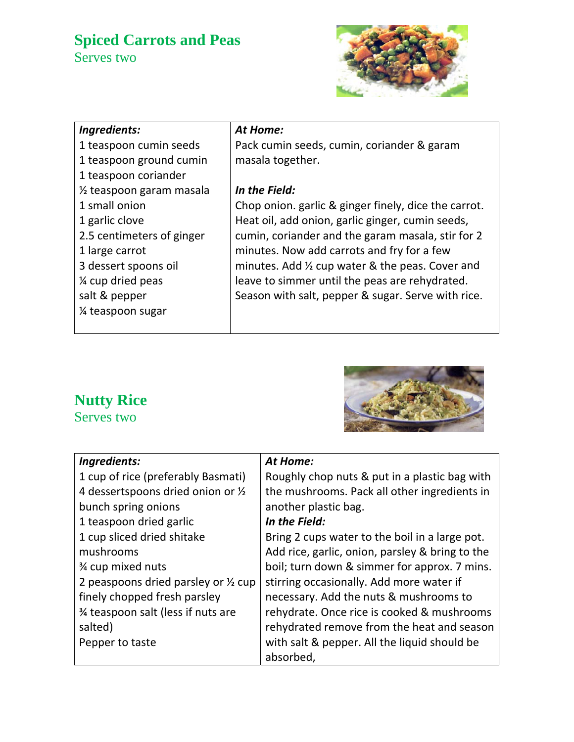### **Spiced Carrots and Peas**  Serves two



| Ingredients:                          | At Home:                                             |
|---------------------------------------|------------------------------------------------------|
| 1 teaspoon cumin seeds                | Pack cumin seeds, cumin, coriander & garam           |
| 1 teaspoon ground cumin               | masala together.                                     |
| 1 teaspoon coriander                  |                                                      |
| 1/ <sub>2</sub> teaspoon garam masala | In the Field:                                        |
| 1 small onion                         | Chop onion. garlic & ginger finely, dice the carrot. |
| 1 garlic clove                        | Heat oil, add onion, garlic ginger, cumin seeds,     |
| 2.5 centimeters of ginger             | cumin, coriander and the garam masala, stir for 2    |
| 1 large carrot                        | minutes. Now add carrots and fry for a few           |
| 3 dessert spoons oil                  | minutes. Add 1/2 cup water & the peas. Cover and     |
| 1/4 cup dried peas                    | leave to simmer until the peas are rehydrated.       |
| salt & pepper                         | Season with salt, pepper & sugar. Serve with rice.   |
| 1/4 teaspoon sugar                    |                                                      |
|                                       |                                                      |
|                                       |                                                      |

## **Nutty Rice**

Serves two



| Ingredients:                         | At Home:                                        |  |  |
|--------------------------------------|-------------------------------------------------|--|--|
| 1 cup of rice (preferably Basmati)   | Roughly chop nuts & put in a plastic bag with   |  |  |
| 4 dessertspoons dried onion or 1/2   | the mushrooms. Pack all other ingredients in    |  |  |
| bunch spring onions                  | another plastic bag.                            |  |  |
| 1 teaspoon dried garlic              | In the Field:                                   |  |  |
| 1 cup sliced dried shitake           | Bring 2 cups water to the boil in a large pot.  |  |  |
| mushrooms                            | Add rice, garlic, onion, parsley & bring to the |  |  |
| <b>34 cup mixed nuts</b>             | boil; turn down & simmer for approx. 7 mins.    |  |  |
| 2 peaspoons dried parsley or 1/2 cup | stirring occasionally. Add more water if        |  |  |
| finely chopped fresh parsley         | necessary. Add the nuts & mushrooms to          |  |  |
| 3⁄4 teaspoon salt (less if nuts are  | rehydrate. Once rice is cooked & mushrooms      |  |  |
| salted)                              | rehydrated remove from the heat and season      |  |  |
| Pepper to taste                      | with salt & pepper. All the liquid should be    |  |  |
|                                      | absorbed,                                       |  |  |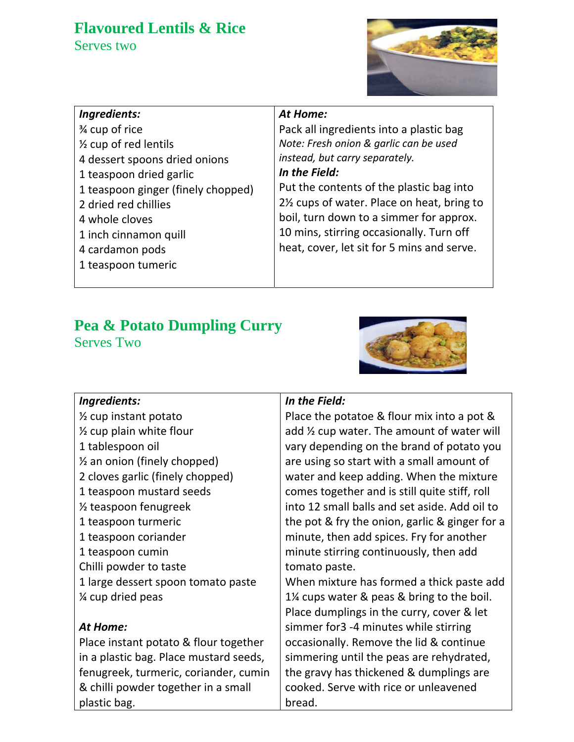### **Flavoured Lentils & Rice**

Serves two



| Ingredients:                       |
|------------------------------------|
| 3⁄4 cup of rice                    |
| $\frac{1}{2}$ cup of red lentils   |
| 4 dessert spoons dried onions      |
| 1 teaspoon dried garlic            |
| 1 teaspoon ginger (finely chopped) |
| 2 dried red chillies               |
| 4 whole cloves                     |
| 1 inch cinnamon quill              |
| 4 cardamon pods                    |
| 1 teaspoon tumeric                 |

#### *At Home:*

Pack all ingredients into a plastic bag *Note: Fresh onion & garlic can be used instead, but carry separately.*

#### *In the Field:*

Put the contents of the plastic bag into 2½ cups of water. Place on heat, bring to boil, turn down to a simmer for approx. 10 mins, stirring occasionally. Turn off heat, cover, let sit for 5 mins and serve.

# **Pea & Potato Dumpling Curry**

Serves Two



| Ingredients:                            | In the Field:                                  |  |  |
|-----------------------------------------|------------------------------------------------|--|--|
| $\frac{1}{2}$ cup instant potato        | Place the potatoe & flour mix into a pot &     |  |  |
| $\frac{1}{2}$ cup plain white flour     | add 1/2 cup water. The amount of water will    |  |  |
| 1 tablespoon oil                        | vary depending on the brand of potato you      |  |  |
| $\frac{1}{2}$ an onion (finely chopped) | are using so start with a small amount of      |  |  |
| 2 cloves garlic (finely chopped)        | water and keep adding. When the mixture        |  |  |
| 1 teaspoon mustard seeds                | comes together and is still quite stiff, roll  |  |  |
| 1/ <sub>2</sub> teaspoon fenugreek      | into 12 small balls and set aside. Add oil to  |  |  |
| 1 teaspoon turmeric                     | the pot & fry the onion, garlic & ginger for a |  |  |
| 1 teaspoon coriander                    | minute, then add spices. Fry for another       |  |  |
| 1 teaspoon cumin                        | minute stirring continuously, then add         |  |  |
| Chilli powder to taste                  | tomato paste.                                  |  |  |
| 1 large dessert spoon tomato paste      | When mixture has formed a thick paste add      |  |  |
| 1/4 cup dried peas                      | 1% cups water & peas & bring to the boil.      |  |  |
|                                         | Place dumplings in the curry, cover & let      |  |  |
| At Home:                                | simmer for3 -4 minutes while stirring          |  |  |
| Place instant potato & flour together   | occasionally. Remove the lid & continue        |  |  |
| in a plastic bag. Place mustard seeds,  | simmering until the peas are rehydrated,       |  |  |
| fenugreek, turmeric, coriander, cumin   | the gravy has thickened & dumplings are        |  |  |
| & chilli powder together in a small     | cooked. Serve with rice or unleavened          |  |  |
| plastic bag.                            | bread.                                         |  |  |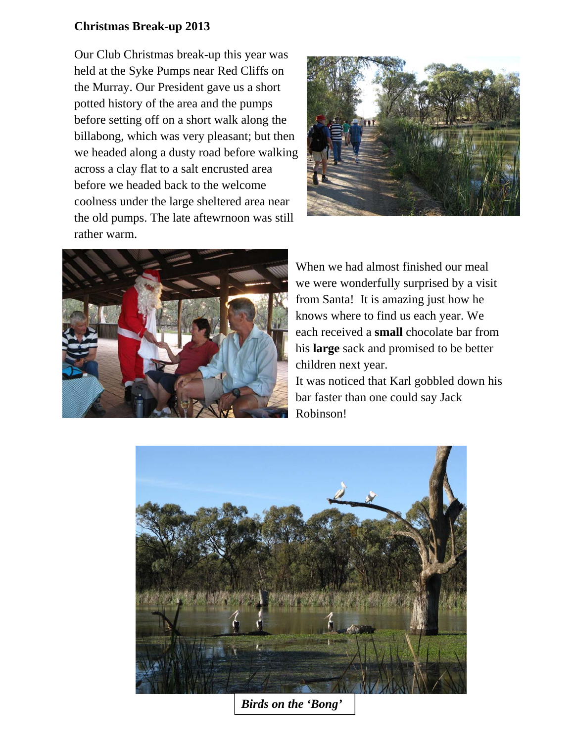#### **Christmas Break-up 2013**

Our Club Christmas break-up this year was held at the Syke Pumps near Red Cliffs on the Murray. Our President gave us a short potted history of the area and the pumps before setting off on a short walk along the billabong, which was very pleasant; but then we headed along a dusty road before walking across a clay flat to a salt encrusted area before we headed back to the welcome coolness under the large sheltered area near the old pumps. The late aftewrnoon was still rather warm.





When we had almost finished our meal we were wonderfully surprised by a visit from Santa! It is amazing just how he knows where to find us each year. We each received a **small** chocolate bar from his **large** sack and promised to be better children next year.

It was noticed that Karl gobbled down his bar faster than one could say Jack Robinson!



*Birds on the 'Bong'*